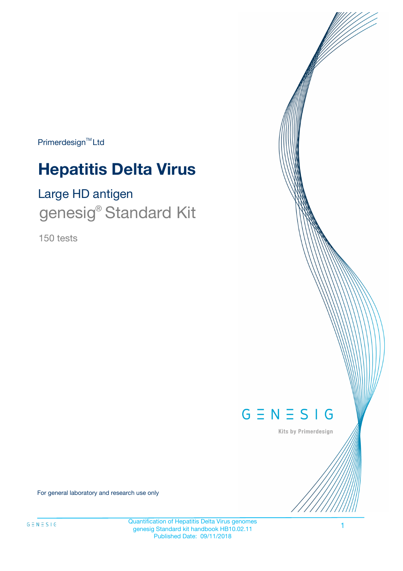Primerdesign<sup>™</sup>Ltd

# **Hepatitis Delta Virus**

# Large HD antigen genesig<sup>®</sup> Standard Kit

150 tests



Kits by Primerdesign

For general laboratory and research use only

Quantification of Hepatitis Delta Virus genomes genesig Standard kit handbook HB10.02.11 Published Date: 09/11/2018

1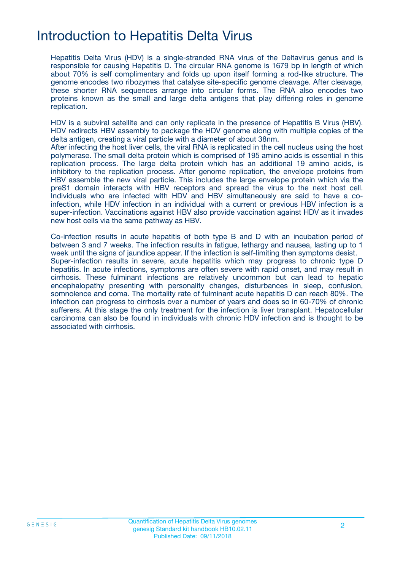# Introduction to Hepatitis Delta Virus

Hepatitis Delta Virus (HDV) is a single-stranded RNA virus of the Deltavirus genus and is responsible for causing Hepatitis D. The circular RNA genome is 1679 bp in length of which about 70% is self complimentary and folds up upon itself forming a rod-like structure. The genome encodes two ribozymes that catalyse site-specific genome cleavage. After cleavage, these shorter RNA sequences arrange into circular forms. The RNA also encodes two proteins known as the small and large delta antigens that play differing roles in genome replication.

HDV is a subviral satellite and can only replicate in the presence of Hepatitis B Virus (HBV). HDV redirects HBV assembly to package the HDV genome along with multiple copies of the delta antigen, creating a viral particle with a diameter of about 38nm.

After infecting the host liver cells, the viral RNA is replicated in the cell nucleus using the host polymerase. The small delta protein which is comprised of 195 amino acids is essential in this replication process. The large delta protein which has an additional 19 amino acids, is inhibitory to the replication process. After genome replication, the envelope proteins from HBV assemble the new viral particle. This includes the large envelope protein which via the preS1 domain interacts with HBV receptors and spread the virus to the next host cell. Individuals who are infected with HDV and HBV simultaneously are said to have a coinfection, while HDV infection in an individual with a current or previous HBV infection is a super-infection. Vaccinations against HBV also provide vaccination against HDV as it invades new host cells via the same pathway as HBV.

Co-infection results in acute hepatitis of both type B and D with an incubation period of between 3 and 7 weeks. The infection results in fatigue, lethargy and nausea, lasting up to 1 week until the signs of jaundice appear. If the infection is self-limiting then symptoms desist. Super-infection results in severe, acute hepatitis which may progress to chronic type D hepatitis. In acute infections, symptoms are often severe with rapid onset, and may result in cirrhosis. These fulminant infections are relatively uncommon but can lead to hepatic encephalopathy presenting with personality changes, disturbances in sleep, confusion, somnolence and coma. The mortality rate of fulminant acute hepatitis D can reach 80%. The infection can progress to cirrhosis over a number of years and does so in 60-70% of chronic sufferers. At this stage the only treatment for the infection is liver transplant. Hepatocellular carcinoma can also be found in individuals with chronic HDV infection and is thought to be associated with cirrhosis.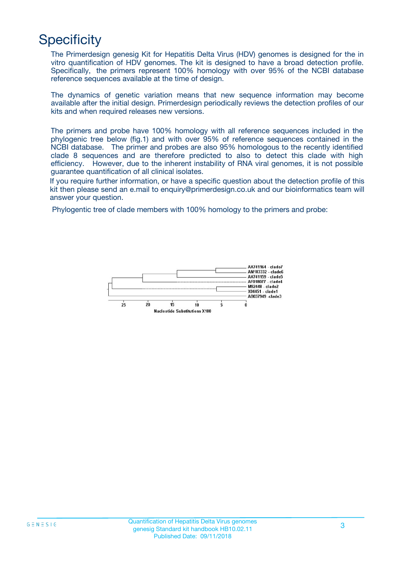# **Specificity**

The Primerdesign genesig Kit for Hepatitis Delta Virus (HDV) genomes is designed for the in vitro quantification of HDV genomes. The kit is designed to have a broad detection profile. Specifically, the primers represent 100% homology with over 95% of the NCBI database reference sequences available at the time of design.

The dynamics of genetic variation means that new sequence information may become available after the initial design. Primerdesign periodically reviews the detection profiles of our kits and when required releases new versions.

The primers and probe have 100% homology with all reference sequences included in the phylogenic tree below (fig.1) and with over 95% of reference sequences contained in the NCBI database. The primer and probes are also 95% homologous to the recently identified clade 8 sequences and are therefore predicted to also to detect this clade with high efficiency. However, due to the inherent instability of RNA viral genomes, it is not possible guarantee quantification of all clinical isolates.

If you require further information, or have a specific question about the detection profile of this kit then please send an e.mail to enquiry@primerdesign.co.uk and our bioinformatics team will answer your question.

Phylogentic tree of clade members with 100% homology to the primers and probe:

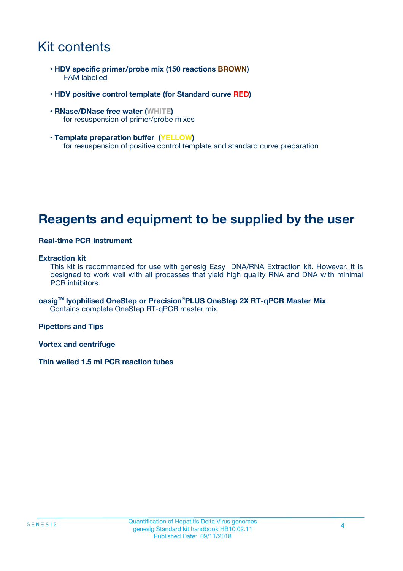# Kit contents

- **HDV specific primer/probe mix (150 reactions BROWN)** FAM labelled
- **HDV positive control template (for Standard curve RED)**
- **RNase/DNase free water (WHITE)** for resuspension of primer/probe mixes
- **Template preparation buffer (YELLOW)** for resuspension of positive control template and standard curve preparation

## **Reagents and equipment to be supplied by the user**

#### **Real-time PCR Instrument**

#### **Extraction kit**

This kit is recommended for use with genesig Easy DNA/RNA Extraction kit. However, it is designed to work well with all processes that yield high quality RNA and DNA with minimal PCR inhibitors.

**oasigTM lyophilised OneStep or Precision**®**PLUS OneStep 2X RT-qPCR Master Mix** Contains complete OneStep RT-qPCR master mix

**Pipettors and Tips**

**Vortex and centrifuge**

**Thin walled 1.5 ml PCR reaction tubes**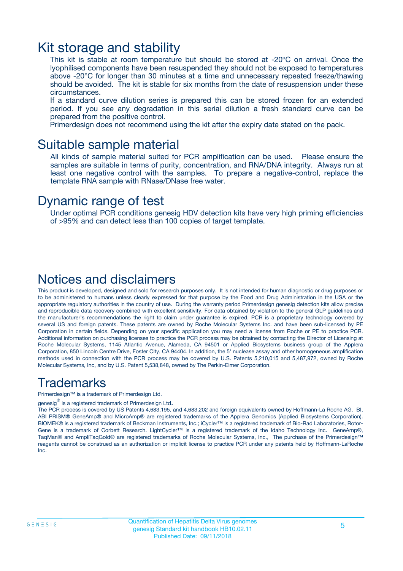### Kit storage and stability

This kit is stable at room temperature but should be stored at -20ºC on arrival. Once the lyophilised components have been resuspended they should not be exposed to temperatures above -20°C for longer than 30 minutes at a time and unnecessary repeated freeze/thawing should be avoided. The kit is stable for six months from the date of resuspension under these circumstances.

If a standard curve dilution series is prepared this can be stored frozen for an extended period. If you see any degradation in this serial dilution a fresh standard curve can be prepared from the positive control.

Primerdesign does not recommend using the kit after the expiry date stated on the pack.

### Suitable sample material

All kinds of sample material suited for PCR amplification can be used. Please ensure the samples are suitable in terms of purity, concentration, and RNA/DNA integrity. Always run at least one negative control with the samples. To prepare a negative-control, replace the template RNA sample with RNase/DNase free water.

### Dynamic range of test

Under optimal PCR conditions genesig HDV detection kits have very high priming efficiencies of >95% and can detect less than 100 copies of target template.

### Notices and disclaimers

This product is developed, designed and sold for research purposes only. It is not intended for human diagnostic or drug purposes or to be administered to humans unless clearly expressed for that purpose by the Food and Drug Administration in the USA or the appropriate regulatory authorities in the country of use. During the warranty period Primerdesign genesig detection kits allow precise and reproducible data recovery combined with excellent sensitivity. For data obtained by violation to the general GLP guidelines and the manufacturer's recommendations the right to claim under guarantee is expired. PCR is a proprietary technology covered by several US and foreign patents. These patents are owned by Roche Molecular Systems Inc. and have been sub-licensed by PE Corporation in certain fields. Depending on your specific application you may need a license from Roche or PE to practice PCR. Additional information on purchasing licenses to practice the PCR process may be obtained by contacting the Director of Licensing at Roche Molecular Systems, 1145 Atlantic Avenue, Alameda, CA 94501 or Applied Biosystems business group of the Applera Corporation, 850 Lincoln Centre Drive, Foster City, CA 94404. In addition, the 5' nuclease assay and other homogeneous amplification methods used in connection with the PCR process may be covered by U.S. Patents 5,210,015 and 5,487,972, owned by Roche Molecular Systems, Inc, and by U.S. Patent 5,538,848, owned by The Perkin-Elmer Corporation.

### Trademarks

Primerdesign™ is a trademark of Primerdesign Ltd.

genesig $^\circledR$  is a registered trademark of Primerdesign Ltd.

The PCR process is covered by US Patents 4,683,195, and 4,683,202 and foreign equivalents owned by Hoffmann-La Roche AG. BI, ABI PRISM® GeneAmp® and MicroAmp® are registered trademarks of the Applera Genomics (Applied Biosystems Corporation). BIOMEK® is a registered trademark of Beckman Instruments, Inc.; iCycler™ is a registered trademark of Bio-Rad Laboratories, Rotor-Gene is a trademark of Corbett Research. LightCycler™ is a registered trademark of the Idaho Technology Inc. GeneAmp®, TaqMan® and AmpliTaqGold® are registered trademarks of Roche Molecular Systems, Inc., The purchase of the Primerdesign™ reagents cannot be construed as an authorization or implicit license to practice PCR under any patents held by Hoffmann-LaRoche Inc.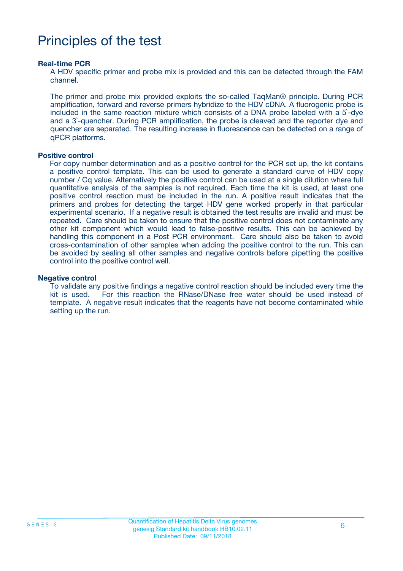# Principles of the test

#### **Real-time PCR**

A HDV specific primer and probe mix is provided and this can be detected through the FAM channel.

The primer and probe mix provided exploits the so-called TaqMan® principle. During PCR amplification, forward and reverse primers hybridize to the HDV cDNA. A fluorogenic probe is included in the same reaction mixture which consists of a DNA probe labeled with a 5`-dye and a 3`-quencher. During PCR amplification, the probe is cleaved and the reporter dye and quencher are separated. The resulting increase in fluorescence can be detected on a range of qPCR platforms.

#### **Positive control**

For copy number determination and as a positive control for the PCR set up, the kit contains a positive control template. This can be used to generate a standard curve of HDV copy number / Cq value. Alternatively the positive control can be used at a single dilution where full quantitative analysis of the samples is not required. Each time the kit is used, at least one positive control reaction must be included in the run. A positive result indicates that the primers and probes for detecting the target HDV gene worked properly in that particular experimental scenario. If a negative result is obtained the test results are invalid and must be repeated. Care should be taken to ensure that the positive control does not contaminate any other kit component which would lead to false-positive results. This can be achieved by handling this component in a Post PCR environment. Care should also be taken to avoid cross-contamination of other samples when adding the positive control to the run. This can be avoided by sealing all other samples and negative controls before pipetting the positive control into the positive control well.

#### **Negative control**

To validate any positive findings a negative control reaction should be included every time the kit is used. For this reaction the RNase/DNase free water should be used instead of template. A negative result indicates that the reagents have not become contaminated while setting up the run.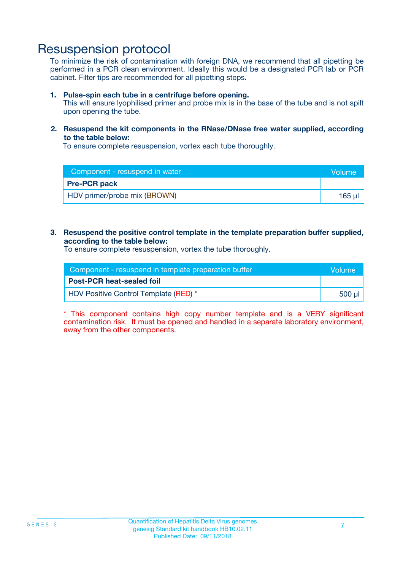### Resuspension protocol

To minimize the risk of contamination with foreign DNA, we recommend that all pipetting be performed in a PCR clean environment. Ideally this would be a designated PCR lab or PCR cabinet. Filter tips are recommended for all pipetting steps.

#### **1. Pulse-spin each tube in a centrifuge before opening.**

This will ensure lyophilised primer and probe mix is in the base of the tube and is not spilt upon opening the tube.

#### **2. Resuspend the kit components in the RNase/DNase free water supplied, according to the table below:**

To ensure complete resuspension, vortex each tube thoroughly.

| Component - resuspend in water | <b>Volume</b> |
|--------------------------------|---------------|
| <b>Pre-PCR pack</b>            |               |
| HDV primer/probe mix (BROWN)   | 165 µl        |

#### **3. Resuspend the positive control template in the template preparation buffer supplied, according to the table below:**

To ensure complete resuspension, vortex the tube thoroughly.

| Component - resuspend in template preparation buffer |          |  |
|------------------------------------------------------|----------|--|
| <b>Post-PCR heat-sealed foil</b>                     |          |  |
| HDV Positive Control Template (RED) *                | ่ 500 µl |  |

\* This component contains high copy number template and is a VERY significant contamination risk. It must be opened and handled in a separate laboratory environment, away from the other components.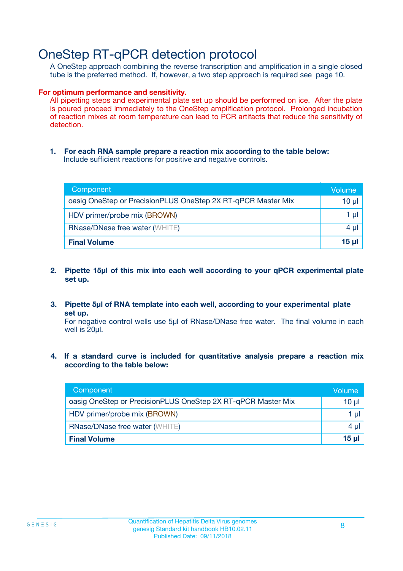## OneStep RT-qPCR detection protocol

A OneStep approach combining the reverse transcription and amplification in a single closed tube is the preferred method. If, however, a two step approach is required see page 10.

#### **For optimum performance and sensitivity.**

All pipetting steps and experimental plate set up should be performed on ice. After the plate is poured proceed immediately to the OneStep amplification protocol. Prolonged incubation of reaction mixes at room temperature can lead to PCR artifacts that reduce the sensitivity of detection.

**1. For each RNA sample prepare a reaction mix according to the table below:** Include sufficient reactions for positive and negative controls.

| Component                                                    | Volume     |
|--------------------------------------------------------------|------------|
| oasig OneStep or PrecisionPLUS OneStep 2X RT-qPCR Master Mix | $10 \mu$   |
| HDV primer/probe mix (BROWN)                                 | 1 µl       |
| <b>RNase/DNase free water (WHITE)</b>                        | 4 µl       |
| <b>Final Volume</b>                                          | $15$ $\mu$ |

- **2. Pipette 15µl of this mix into each well according to your qPCR experimental plate set up.**
- **3. Pipette 5µl of RNA template into each well, according to your experimental plate set up.**

For negative control wells use 5µl of RNase/DNase free water. The final volume in each well is 20ul.

**4. If a standard curve is included for quantitative analysis prepare a reaction mix according to the table below:**

| Component                                                    | Volume |
|--------------------------------------------------------------|--------|
| oasig OneStep or PrecisionPLUS OneStep 2X RT-qPCR Master Mix | 10 µl  |
| HDV primer/probe mix (BROWN)                                 | 1 µl   |
| <b>RNase/DNase free water (WHITE)</b>                        | 4 µl   |
| <b>Final Volume</b>                                          | 15 µl  |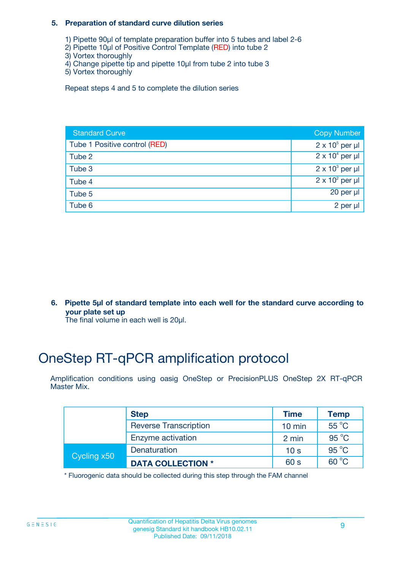#### **5. Preparation of standard curve dilution series**

- 1) Pipette 90µl of template preparation buffer into 5 tubes and label 2-6
- 2) Pipette 10µl of Positive Control Template (RED) into tube 2
- 3) Vortex thoroughly
- 4) Change pipette tip and pipette 10µl from tube 2 into tube 3
- 5) Vortex thoroughly

Repeat steps 4 and 5 to complete the dilution series

| <b>Standard Curve</b>         | <b>Copy Number</b>     |
|-------------------------------|------------------------|
| Tube 1 Positive control (RED) | $2 \times 10^5$ per µl |
| Tube 2                        | $2 \times 10^4$ per µl |
| Tube 3                        | $2 \times 10^3$ per µl |
| Tube 4                        | $2 \times 10^2$ per µl |
| Tube 5                        | 20 per $\mu$           |
| Tube 6                        | 2 per µl               |

**6. Pipette 5µl of standard template into each well for the standard curve according to your plate set up**

The final volume in each well is 20ul.

# OneStep RT-qPCR amplification protocol

Amplification conditions using oasig OneStep or PrecisionPLUS OneStep 2X RT-qPCR Master Mix.

|             | <b>Step</b>                  | <b>Time</b>      | <b>Temp</b>    |
|-------------|------------------------------|------------------|----------------|
|             | <b>Reverse Transcription</b> | $10 \text{ min}$ | $55^{\circ}$ C |
|             | Enzyme activation            | 2 min            | $95^{\circ}$ C |
| Cycling x50 | Denaturation                 | 10 <sub>s</sub>  | $95^{\circ}$ C |
|             | <b>DATA COLLECTION *</b>     | 60 s             | $60^{\circ}$ C |

\* Fluorogenic data should be collected during this step through the FAM channel